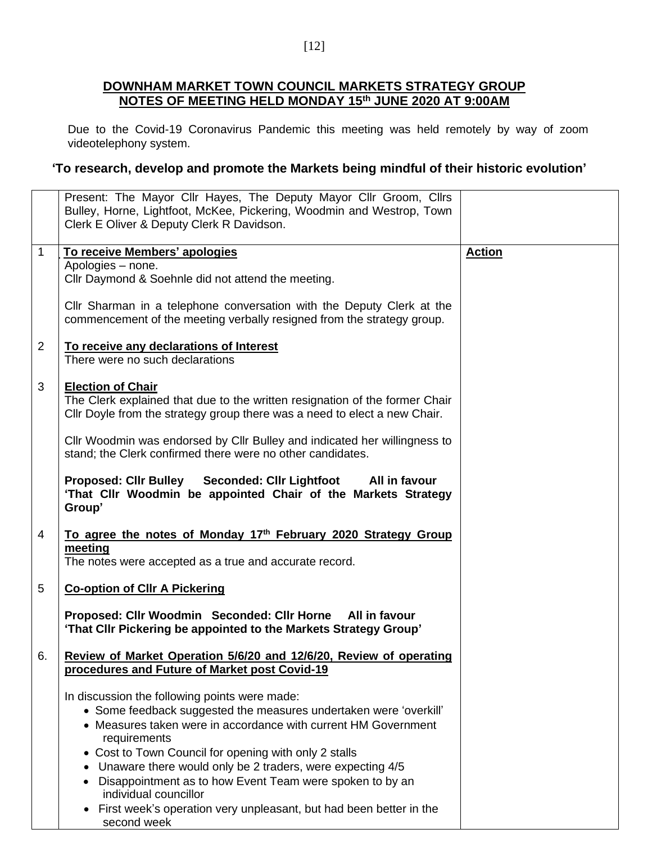## **DOWNHAM MARKET TOWN COUNCIL MARKETS STRATEGY GROUP NOTES OF MEETING HELD MONDAY 15th JUNE 2020 AT 9:00AM**

Due to the Covid-19 Coronavirus Pandemic this meeting was held remotely by way of zoom videotelephony system.

## **'To research, develop and promote the Markets being mindful of their historic evolution'**

|                | Present: The Mayor Cllr Hayes, The Deputy Mayor Cllr Groom, Cllrs<br>Bulley, Horne, Lightfoot, McKee, Pickering, Woodmin and Westrop, Town<br>Clerk E Oliver & Deputy Clerk R Davidson. |               |
|----------------|-----------------------------------------------------------------------------------------------------------------------------------------------------------------------------------------|---------------|
|                |                                                                                                                                                                                         |               |
| $\overline{1}$ | To receive Members' apologies                                                                                                                                                           | <b>Action</b> |
|                | Apologies - none.                                                                                                                                                                       |               |
|                | Cllr Daymond & Soehnle did not attend the meeting.                                                                                                                                      |               |
|                |                                                                                                                                                                                         |               |
|                | CIIr Sharman in a telephone conversation with the Deputy Clerk at the<br>commencement of the meeting verbally resigned from the strategy group.                                         |               |
| $\overline{2}$ | To receive any declarations of Interest                                                                                                                                                 |               |
|                | There were no such declarations                                                                                                                                                         |               |
|                |                                                                                                                                                                                         |               |
|                |                                                                                                                                                                                         |               |
| 3              | <b>Election of Chair</b>                                                                                                                                                                |               |
|                | The Clerk explained that due to the written resignation of the former Chair                                                                                                             |               |
|                | Cllr Doyle from the strategy group there was a need to elect a new Chair.                                                                                                               |               |
|                |                                                                                                                                                                                         |               |
|                | CIIr Woodmin was endorsed by CIIr Bulley and indicated her willingness to                                                                                                               |               |
|                | stand; the Clerk confirmed there were no other candidates.                                                                                                                              |               |
|                | Proposed: Cllr Bulley Seconded: Cllr Lightfoot All in favour<br>'That Cllr Woodmin be appointed Chair of the Markets Strategy                                                           |               |
|                | Group'                                                                                                                                                                                  |               |
|                |                                                                                                                                                                                         |               |
| 4              | To agree the notes of Monday 17th February 2020 Strategy Group                                                                                                                          |               |
|                | meeting                                                                                                                                                                                 |               |
|                | The notes were accepted as a true and accurate record.                                                                                                                                  |               |
|                |                                                                                                                                                                                         |               |
| 5              | <b>Co-option of CIIr A Pickering</b>                                                                                                                                                    |               |
|                | Proposed: Cllr Woodmin Seconded: Cllr Horne All in favour                                                                                                                               |               |
|                | 'That Cllr Pickering be appointed to the Markets Strategy Group'                                                                                                                        |               |
|                |                                                                                                                                                                                         |               |
| 6.             | Review of Market Operation 5/6/20 and 12/6/20, Review of operating                                                                                                                      |               |
|                | procedures and Future of Market post Covid-19                                                                                                                                           |               |
|                |                                                                                                                                                                                         |               |
|                | In discussion the following points were made:                                                                                                                                           |               |
|                |                                                                                                                                                                                         |               |
|                | • Some feedback suggested the measures undertaken were 'overkill'                                                                                                                       |               |
|                | • Measures taken were in accordance with current HM Government                                                                                                                          |               |
|                | requirements                                                                                                                                                                            |               |
|                | • Cost to Town Council for opening with only 2 stalls                                                                                                                                   |               |
|                | Unaware there would only be 2 traders, were expecting 4/5<br>٠                                                                                                                          |               |
|                | Disappointment as to how Event Team were spoken to by an<br>٠                                                                                                                           |               |
|                | individual councillor                                                                                                                                                                   |               |
|                | First week's operation very unpleasant, but had been better in the<br>$\bullet$                                                                                                         |               |
|                | second week                                                                                                                                                                             |               |